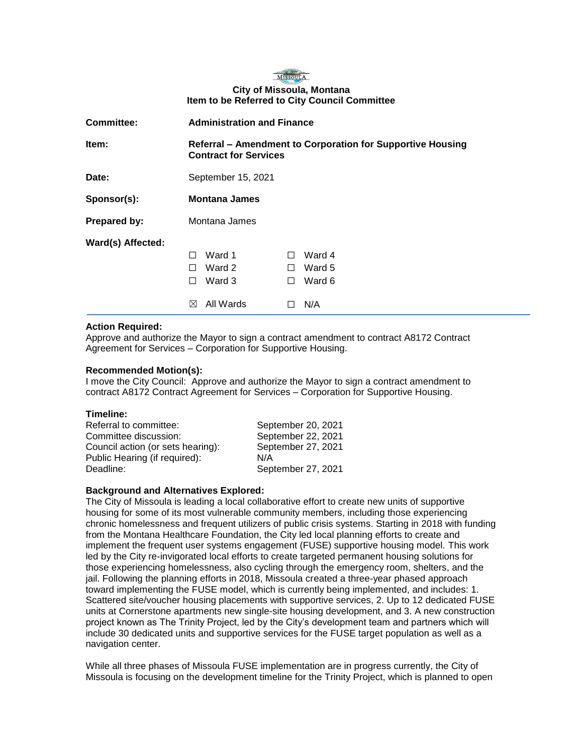

# **City of Missoula, Montana Item to be Referred to City Council Committee**

| <b>Committee:</b> | <b>Administration and Finance</b>                                                          |                                                                    |
|-------------------|--------------------------------------------------------------------------------------------|--------------------------------------------------------------------|
| Item:             | Referral – Amendment to Corporation for Supportive Housing<br><b>Contract for Services</b> |                                                                    |
| Date:             | September 15, 2021                                                                         |                                                                    |
| Sponsor(s):       | <b>Montana James</b>                                                                       |                                                                    |
| Prepared by:      | Montana James                                                                              |                                                                    |
| Ward(s) Affected: | Ward 1<br>П<br>Ward 2<br>П<br>Ward 3<br>$\perp$<br>All Wards<br>⊠                          | Ward 4<br>$\perp$<br>Ward 5<br>$\perp$<br>Ward 6<br>$\perp$<br>N/A |

## **Action Required:**

Approve and authorize the Mayor to sign a contract amendment to contract A8172 Contract Agreement for Services – Corporation for Supportive Housing.

## **Recommended Motion(s):**

I move the City Council: Approve and authorize the Mayor to sign a contract amendment to contract A8172 Contract Agreement for Services – Corporation for Supportive Housing.

### **Timeline:**

| Referral to committee:            | September 20, 2021 |
|-----------------------------------|--------------------|
| Committee discussion:             | September 22, 2021 |
| Council action (or sets hearing): | September 27, 2021 |
| Public Hearing (if required):     | N/A                |
| Deadline:                         | September 27, 2021 |

### **Background and Alternatives Explored:**

The City of Missoula is leading a local collaborative effort to create new units of supportive housing for some of its most vulnerable community members, including those experiencing chronic homelessness and frequent utilizers of public crisis systems. Starting in 2018 with funding from the Montana Healthcare Foundation, the City led local planning efforts to create and implement the frequent user systems engagement (FUSE) supportive housing model. This work led by the City re-invigorated local efforts to create targeted permanent housing solutions for those experiencing homelessness, also cycling through the emergency room, shelters, and the jail. Following the planning efforts in 2018, Missoula created a three-year phased approach toward implementing the FUSE model, which is currently being implemented, and includes: 1. Scattered site/voucher housing placements with supportive services, 2. Up to 12 dedicated FUSE units at Cornerstone apartments new single-site housing development, and 3. A new construction project known as The Trinity Project, led by the City's development team and partners which will include 30 dedicated units and supportive services for the FUSE target population as well as a navigation center.

While all three phases of Missoula FUSE implementation are in progress currently, the City of Missoula is focusing on the development timeline for the Trinity Project, which is planned to open